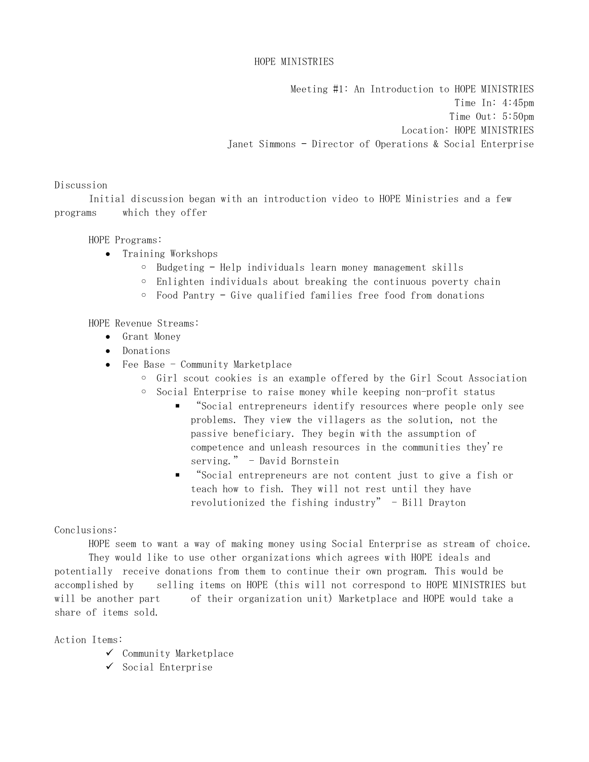Meeting #1: An Introduction to HOPE MINISTRIES Time In: 4:45pm Time Out: 5:50pm Location: HOPE MINISTRIES Janet Simmons – Director of Operations & Social Enterprise

### Discussion

 Initial discussion began with an introduction video to HOPE Ministries and a few programs which they offer

### HOPE Programs:

- Training Workshops
	- Budgeting Help individuals learn money management skills
	- Enlighten individuals about breaking the continuous poverty chain
	- Food Pantry Give qualified families free food from donations

HOPE Revenue Streams:

- Grant Money
- Donations
- Fee Base Community Marketplace
	- Girl scout cookies is an example offered by the Girl Scout Association
	- Social Enterprise to raise money while keeping non-profit status
		- "Social entrepreneurs identify resources where people only see problems. They view the villagers as the solution, not the passive beneficiary. They begin with the assumption of competence and unleash resources in the communities they're serving." - David Bornstein
		- "Social entrepreneurs are not content just to give a fish or teach how to fish. They will not rest until they have revolutionized the fishing industry" - Bill Drayton

#### Conclusions:

HOPE seem to want a way of making money using Social Enterprise as stream of choice.

 They would like to use other organizations which agrees with HOPE ideals and potentially receive donations from them to continue their own program. This would be accomplished by selling items on HOPE (this will not correspond to HOPE MINISTRIES but will be another part of their organization unit) Marketplace and HOPE would take a share of items sold.

Action Items:

- $\checkmark$  Community Marketplace
- $\checkmark$  Social Enterprise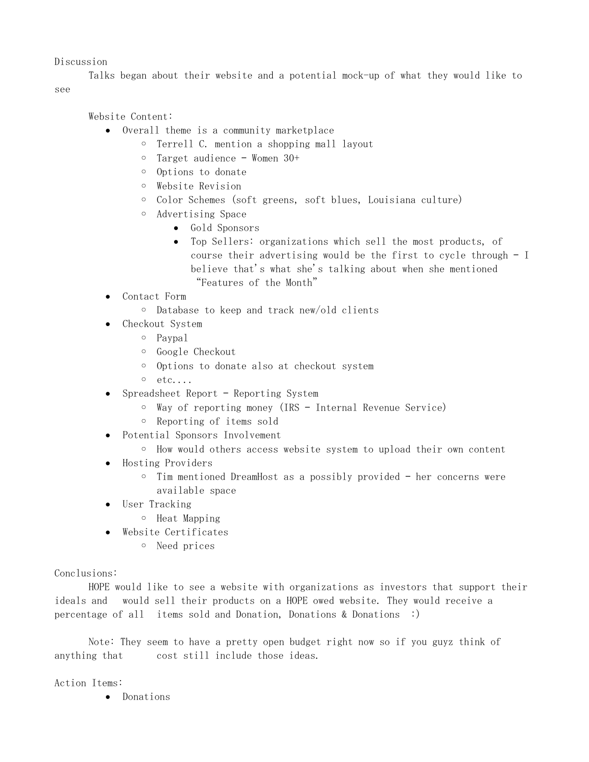### Discussion

 Talks began about their website and a potential mock-up of what they would like to see

Website Content:

- Overall theme is a community marketplace
	- Terrell C. mention a shopping mall layout
	- Target audience Women 30+
	- Options to donate
	- Website Revision
	- Color Schemes (soft greens, soft blues, Louisiana culture)
	- Advertising Space
		- Gold Sponsors
		- Top Sellers: organizations which sell the most products, of course their advertising would be the first to cycle through – I believe that's what she's talking about when she mentioned "Features of the Month"
- Contact Form
	- Database to keep and track new/old clients
- Checkout System
	- Paypal
	- Google Checkout
	- Options to donate also at checkout system
	- etc....
- Spreadsheet Report Reporting System
	- Way of reporting money (IRS Internal Revenue Service)
	- Reporting of items sold
- Potential Sponsors Involvement
	- How would others access website system to upload their own content
- Hosting Providers
	- Tim mentioned DreamHost as a possibly provided her concerns were available space
- User Tracking
	- Heat Mapping
- Website Certificates
	- Need prices

#### Conclusions:

 HOPE would like to see a website with organizations as investors that support their ideals and would sell their products on a HOPE owed website. They would receive a percentage of all items sold and Donation, Donations & Donations :)

 Note: They seem to have a pretty open budget right now so if you guyz think of anything that cost still include those ideas.

Action Items:

Donations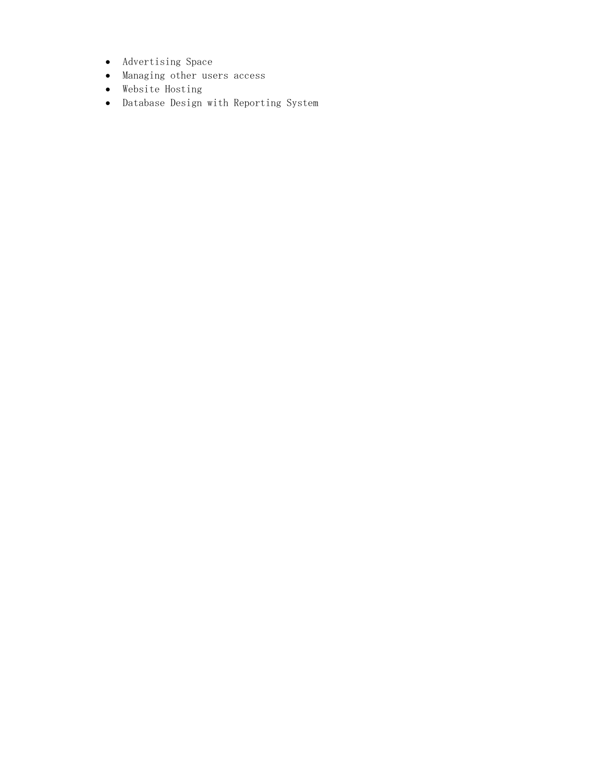- Advertising Space
- Managing other users access
- Website Hosting
- Database Design with Reporting System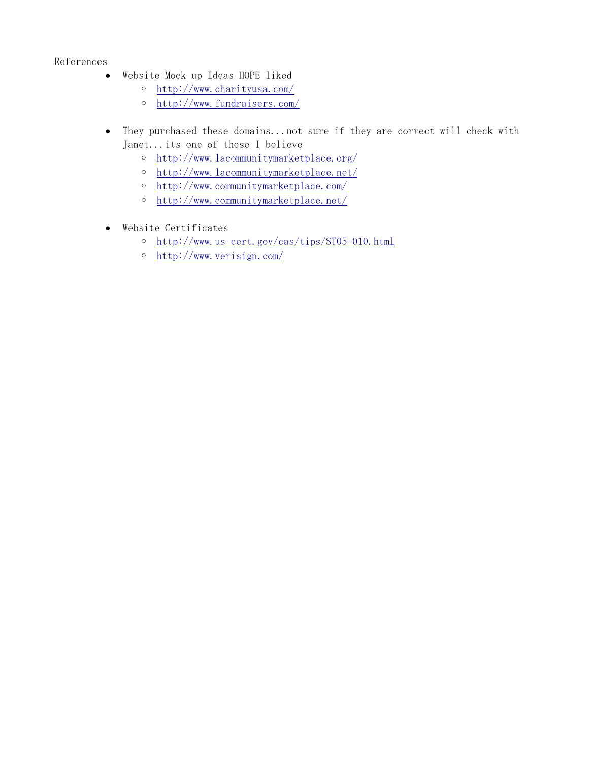# References

- Website Mock-up Ideas HOPE liked
	- http://www.charityusa.com/
	- http://www.fundraisers.com/
- They purchased these domains...not sure if they are correct will check with Janet...its one of these I believe
	- http://www.lacommunitymarketplace.org/
	- http://www.lacommunitymarketplace.net/
	- http://www.communitymarketplace.com/
	- http://www.communitymarketplace.net/
- Website Certificates
	- http://www.us-cert.gov/cas/tips/ST05-010.html
	- http://www.verisign.com/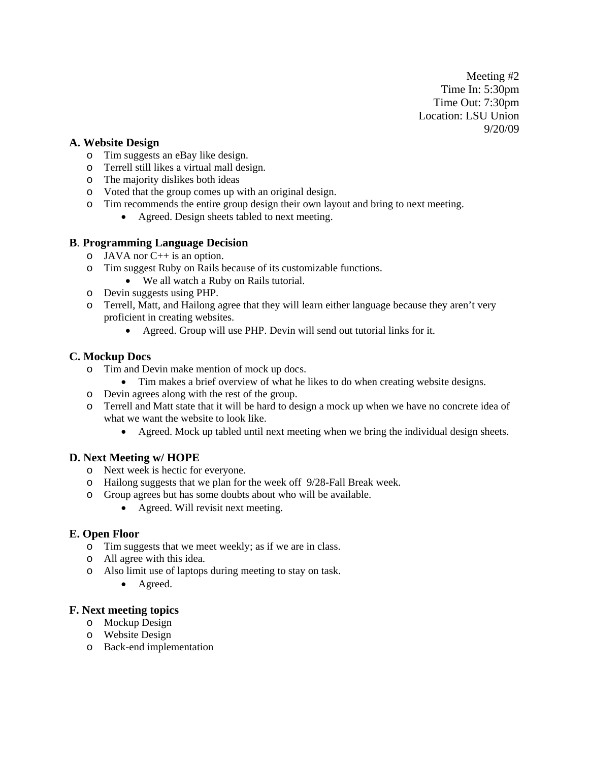Meeting #2 Time In: 5:30pm Time Out: 7:30pm Location: LSU Union 9/20/09

# **A. Website Design**

- o Tim suggests an eBay like design.
- o Terrell still likes a virtual mall design.
- o The majority dislikes both ideas
- o Voted that the group comes up with an original design.
- o Tim recommends the entire group design their own layout and bring to next meeting.
	- Agreed. Design sheets tabled to next meeting.

### **B**. **Programming Language Decision**

- $O$  JAVA nor  $C++$  is an option.
- o Tim suggest Ruby on Rails because of its customizable functions.
	- We all watch a Ruby on Rails tutorial.
- o Devin suggests using PHP.
- o Terrell, Matt, and Hailong agree that they will learn either language because they aren't very proficient in creating websites.
	- Agreed. Group will use PHP. Devin will send out tutorial links for it.

# **C. Mockup Docs**

- o Tim and Devin make mention of mock up docs.
	- Tim makes a brief overview of what he likes to do when creating website designs.
- o Devin agrees along with the rest of the group.
- o Terrell and Matt state that it will be hard to design a mock up when we have no concrete idea of what we want the website to look like.
	- Agreed. Mock up tabled until next meeting when we bring the individual design sheets.

# **D. Next Meeting w/ HOPE**

- o Next week is hectic for everyone.
- o Hailong suggests that we plan for the week off 9/28-Fall Break week.
- o Group agrees but has some doubts about who will be available.
	- Agreed. Will revisit next meeting.

# **E. Open Floor**

- o Tim suggests that we meet weekly; as if we are in class.
- o All agree with this idea.
- o Also limit use of laptops during meeting to stay on task.
	- Agreed.

# **F. Next meeting topics**

- o Mockup Design
- o Website Design
- o Back-end implementation